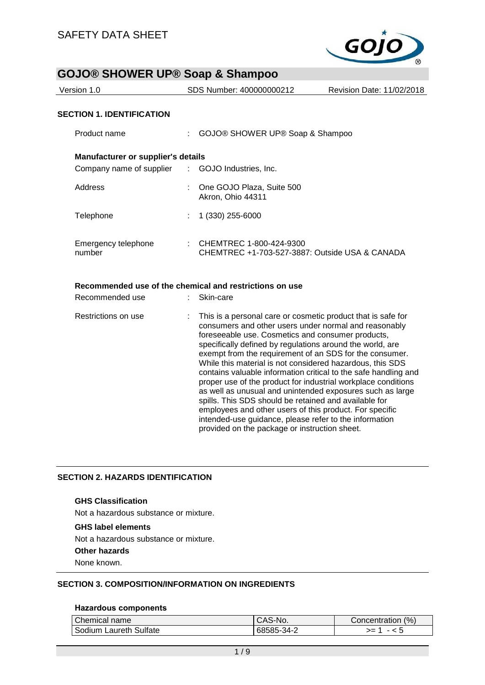

| Version 1.0                      | SDS Number: 400000000212 | Revision Date: 11/02/2018 |
|----------------------------------|--------------------------|---------------------------|
|                                  |                          |                           |
| <b>SECTION 1. IDENTIFICATION</b> |                          |                           |

| Product name                              |               | GOJO® SHOWER UP® Soap & Shampoo                                           |
|-------------------------------------------|---------------|---------------------------------------------------------------------------|
| <b>Manufacturer or supplier's details</b> |               |                                                                           |
| Company name of supplier                  | $\mathcal{L}$ | GOJO Industries, Inc.                                                     |
| Address                                   |               | One GOJO Plaza, Suite 500<br>Akron, Ohio 44311                            |
| Telephone                                 |               | 1 (330) 255-6000                                                          |
| Emergency telephone<br>number             |               | CHEMTREC 1-800-424-9300<br>CHEMTREC +1-703-527-3887: Outside USA & CANADA |

## **Recommended use of the chemical and restrictions on use**

| Recommended use     | Skin-care                                                                                                                                                                                                                                                                                                                                                                                                                                                                                                                                                                                                                                                                                                                                                                                         |
|---------------------|---------------------------------------------------------------------------------------------------------------------------------------------------------------------------------------------------------------------------------------------------------------------------------------------------------------------------------------------------------------------------------------------------------------------------------------------------------------------------------------------------------------------------------------------------------------------------------------------------------------------------------------------------------------------------------------------------------------------------------------------------------------------------------------------------|
| Restrictions on use | : This is a personal care or cosmetic product that is safe for<br>consumers and other users under normal and reasonably<br>foreseeable use. Cosmetics and consumer products,<br>specifically defined by regulations around the world, are<br>exempt from the requirement of an SDS for the consumer.<br>While this material is not considered hazardous, this SDS<br>contains valuable information critical to the safe handling and<br>proper use of the product for industrial workplace conditions<br>as well as unusual and unintended exposures such as large<br>spills. This SDS should be retained and available for<br>employees and other users of this product. For specific<br>intended-use guidance, please refer to the information<br>provided on the package or instruction sheet. |

# **SECTION 2. HAZARDS IDENTIFICATION**

#### **GHS Classification**

Not a hazardous substance or mixture.

#### **GHS label elements**

Not a hazardous substance or mixture.

#### **Other hazards**

None known.

# **SECTION 3. COMPOSITION/INFORMATION ON INGREDIENTS**

#### **Hazardous components**

| Chemical name          | CAS-No.    | Concentration (%) |
|------------------------|------------|-------------------|
| Sodium Laureth Sulfate | 68585-34-2 | >=                |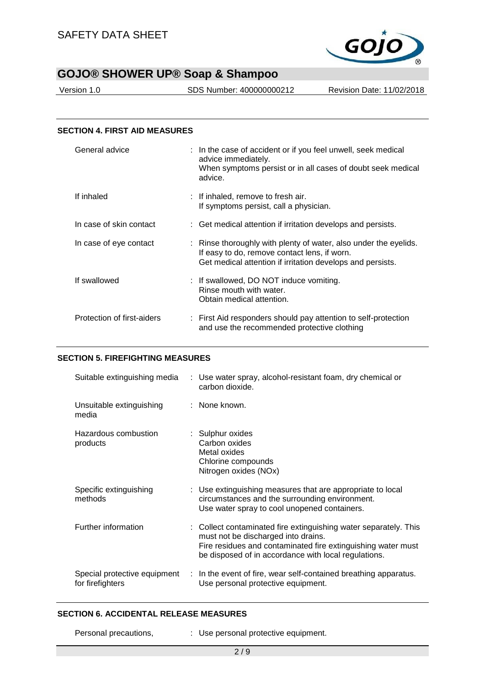

Version 1.0 SDS Number: 400000000212 Revision Date: 11/02/2018

| <b>SECTION 4. FIRST AID MEASURES</b> |                                                                                                                                                                                |
|--------------------------------------|--------------------------------------------------------------------------------------------------------------------------------------------------------------------------------|
| General advice                       | : In the case of accident or if you feel unwell, seek medical<br>advice immediately.<br>When symptoms persist or in all cases of doubt seek medical<br>advice.                 |
| If inhaled                           | : If inhaled, remove to fresh air.<br>If symptoms persist, call a physician.                                                                                                   |
| In case of skin contact              | : Get medical attention if irritation develops and persists.                                                                                                                   |
| In case of eye contact               | : Rinse thoroughly with plenty of water, also under the eyelids.<br>If easy to do, remove contact lens, if worn.<br>Get medical attention if irritation develops and persists. |
| If swallowed                         | : If swallowed, DO NOT induce vomiting.<br>Rinse mouth with water.<br>Obtain medical attention.                                                                                |
| Protection of first-aiders           | : First Aid responders should pay attention to self-protection<br>and use the recommended protective clothing                                                                  |

### **SECTION 5. FIREFIGHTING MEASURES**

| Suitable extinguishing media                     | : Use water spray, alcohol-resistant foam, dry chemical or<br>carbon dioxide.                                                                                                                                                   |
|--------------------------------------------------|---------------------------------------------------------------------------------------------------------------------------------------------------------------------------------------------------------------------------------|
| Unsuitable extinguishing<br>media                | : None known.                                                                                                                                                                                                                   |
| Hazardous combustion<br>products                 | : Sulphur oxides<br>Carbon oxides<br>Metal oxides<br>Chlorine compounds<br>Nitrogen oxides (NOx)                                                                                                                                |
| Specific extinguishing<br>methods                | : Use extinguishing measures that are appropriate to local<br>circumstances and the surrounding environment.<br>Use water spray to cool unopened containers.                                                                    |
| Further information                              | : Collect contaminated fire extinguishing water separately. This<br>must not be discharged into drains.<br>Fire residues and contaminated fire extinguishing water must<br>be disposed of in accordance with local regulations. |
| Special protective equipment<br>for firefighters | : In the event of fire, wear self-contained breathing apparatus.<br>Use personal protective equipment.                                                                                                                          |

### **SECTION 6. ACCIDENTAL RELEASE MEASURES**

Personal precautions, : Use personal protective equipment.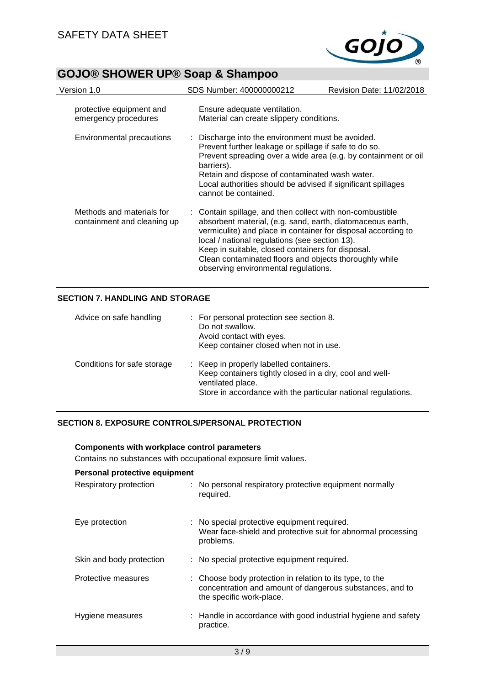

| Version 1.0                                              | SDS Number: 400000000212                                                                                                                                                                                                                                                                                                                                                                          | <b>Revision Date: 11/02/2018</b> |
|----------------------------------------------------------|---------------------------------------------------------------------------------------------------------------------------------------------------------------------------------------------------------------------------------------------------------------------------------------------------------------------------------------------------------------------------------------------------|----------------------------------|
| protective equipment and<br>emergency procedures         | Ensure adequate ventilation.<br>Material can create slippery conditions.                                                                                                                                                                                                                                                                                                                          |                                  |
| Environmental precautions                                | : Discharge into the environment must be avoided.<br>Prevent further leakage or spillage if safe to do so.<br>Prevent spreading over a wide area (e.g. by containment or oil<br>barriers).<br>Retain and dispose of contaminated wash water.<br>Local authorities should be advised if significant spillages<br>cannot be contained.                                                              |                                  |
| Methods and materials for<br>containment and cleaning up | : Contain spillage, and then collect with non-combustible<br>absorbent material, (e.g. sand, earth, diatomaceous earth,<br>vermiculite) and place in container for disposal according to<br>local / national regulations (see section 13).<br>Keep in suitable, closed containers for disposal.<br>Clean contaminated floors and objects thoroughly while<br>observing environmental regulations. |                                  |

# **SECTION 7. HANDLING AND STORAGE**

| Advice on safe handling     | : For personal protection see section 8.<br>Do not swallow.<br>Avoid contact with eyes.<br>Keep container closed when not in use.                                                        |
|-----------------------------|------------------------------------------------------------------------------------------------------------------------------------------------------------------------------------------|
| Conditions for safe storage | : Keep in properly labelled containers.<br>Keep containers tightly closed in a dry, cool and well-<br>ventilated place.<br>Store in accordance with the particular national regulations. |

# **SECTION 8. EXPOSURE CONTROLS/PERSONAL PROTECTION**

**Components with workplace control parameters**

| Contains no substances with occupational exposure limit values. |  |                                                                                                                                                  |  |  |
|-----------------------------------------------------------------|--|--------------------------------------------------------------------------------------------------------------------------------------------------|--|--|
| Personal protective equipment                                   |  |                                                                                                                                                  |  |  |
| Respiratory protection                                          |  | : No personal respiratory protective equipment normally<br>required.                                                                             |  |  |
| Eye protection                                                  |  | : No special protective equipment required.<br>Wear face-shield and protective suit for abnormal processing<br>problems.                         |  |  |
| Skin and body protection                                        |  | : No special protective equipment required.                                                                                                      |  |  |
| Protective measures                                             |  | : Choose body protection in relation to its type, to the<br>concentration and amount of dangerous substances, and to<br>the specific work-place. |  |  |
| Hygiene measures                                                |  | : Handle in accordance with good industrial hygiene and safety<br>practice.                                                                      |  |  |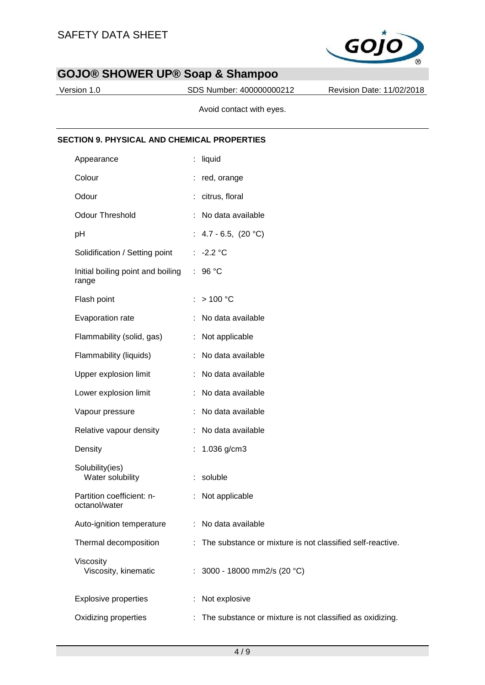

Version 1.0 SDS Number: 400000000212 Revision Date: 11/02/2018

Avoid contact with eyes.

## **SECTION 9. PHYSICAL AND CHEMICAL PROPERTIES**

| Appearance                                 | liquid                                                    |
|--------------------------------------------|-----------------------------------------------------------|
| Colour                                     | : red, orange                                             |
| Odour                                      | citrus, floral                                            |
| <b>Odour Threshold</b>                     | No data available                                         |
| pH                                         | : $4.7 - 6.5$ , $(20 °C)$                                 |
| Solidification / Setting point             | : $-2.2 °C$                                               |
| Initial boiling point and boiling<br>range | 96 °C<br>÷                                                |
| Flash point                                | >100 °C                                                   |
| Evaporation rate                           | No data available                                         |
| Flammability (solid, gas)                  | : Not applicable                                          |
| Flammability (liquids)                     | No data available<br>÷                                    |
| Upper explosion limit                      | No data available                                         |
| Lower explosion limit                      | No data available                                         |
| Vapour pressure                            | No data available                                         |
| Relative vapour density                    | No data available                                         |
| Density                                    | 1.036 g/cm3                                               |
| Solubility(ies)<br>Water solubility        | soluble<br>÷                                              |
| Partition coefficient: n-<br>octanol/water | Not applicable                                            |
| Auto-ignition temperature                  | No data available                                         |
| Thermal decomposition                      | The substance or mixture is not classified self-reactive. |
| Viscosity<br>Viscosity, kinematic          | : 3000 - 18000 mm2/s (20 °C)                              |
| <b>Explosive properties</b>                | Not explosive<br>t                                        |
| Oxidizing properties                       | The substance or mixture is not classified as oxidizing.  |
|                                            |                                                           |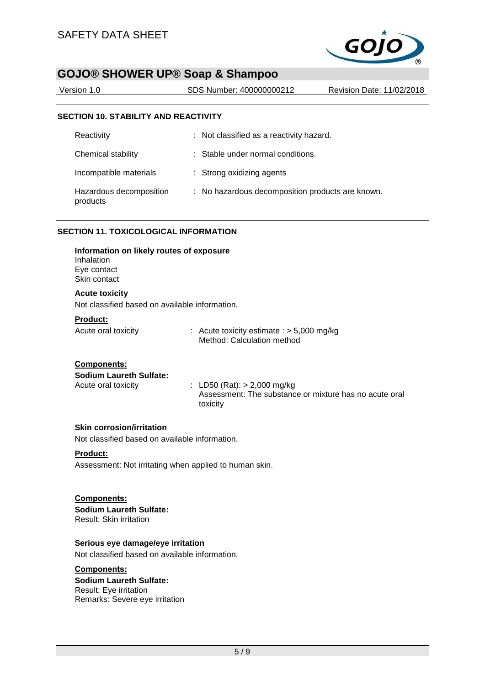

| Version 1.0                                 | SDS Number: 400000000212                 | Revision Date: 11/02/2018 |
|---------------------------------------------|------------------------------------------|---------------------------|
|                                             |                                          |                           |
| <b>SECTION 10. STABILITY AND REACTIVITY</b> |                                          |                           |
| Reactivity                                  | : Not classified as a reactivity hazard. |                           |
| Chemical stability                          | : Stable under normal conditions.        |                           |

| Incompatible materials |  | Strong oxidizing agents |
|------------------------|--|-------------------------|
|------------------------|--|-------------------------|

#### Hazardous decomposition products : No hazardous decomposition products are known.

## **SECTION 11. TOXICOLOGICAL INFORMATION**

| Information on likely routes of exposure<br>Inhalation<br>Eye contact<br>Skin contact |                                                        |
|---------------------------------------------------------------------------------------|--------------------------------------------------------|
| <b>Acute toxicity</b><br>Not classified based on available information.               |                                                        |
| <b>Product:</b>                                                                       | : Acute toxicity estimate : $>$ 5,000 mg/kg            |
| Acute oral toxicity                                                                   | Method: Calculation method                             |
| <b>Components:</b>                                                                    | : LD50 (Rat): $>$ 2,000 mg/kg                          |
| <b>Sodium Laureth Sulfate:</b>                                                        | Assessment: The substance or mixture has no acute oral |
| Acute oral toxicity                                                                   | toxicity                                               |

#### **Skin corrosion/irritation**

Not classified based on available information.

#### **Product:**

Assessment: Not irritating when applied to human skin.

### **Components:**

**Sodium Laureth Sulfate:** Result: Skin irritation

## **Serious eye damage/eye irritation**

Not classified based on available information.

# **Components:**

**Sodium Laureth Sulfate:** Result: Eye irritation Remarks: Severe eye irritation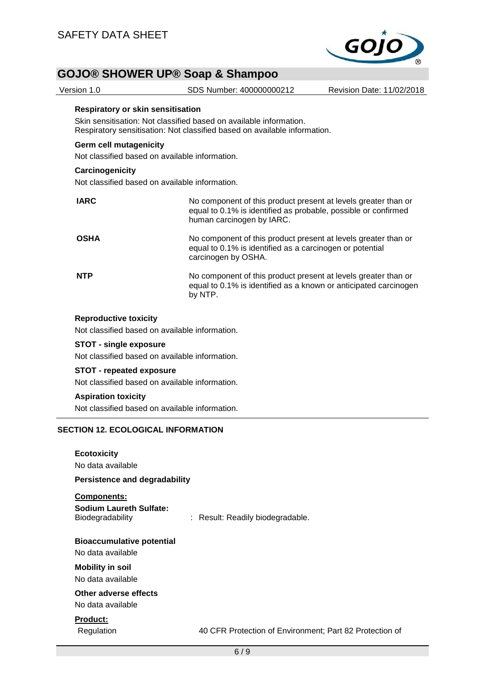

Version 1.0 SDS Number: 400000000212 Revision Date: 11/02/2018

#### **Respiratory or skin sensitisation**

Skin sensitisation: Not classified based on available information. Respiratory sensitisation: Not classified based on available information.

## **Germ cell mutagenicity**

Not classified based on available information.

#### **Carcinogenicity**

Not classified based on available information.

| <b>IARC</b> | No component of this product present at levels greater than or<br>equal to 0.1% is identified as probable, possible or confirmed<br>human carcinogen by IARC. |
|-------------|---------------------------------------------------------------------------------------------------------------------------------------------------------------|
| <b>OSHA</b> | No component of this product present at levels greater than or<br>equal to 0.1% is identified as a carcinogen or potential<br>carcinogen by OSHA.             |
| <b>NTP</b>  | No component of this product present at levels greater than or<br>equal to 0.1% is identified as a known or anticipated carcinogen<br>by NTP.                 |

#### **Reproductive toxicity**

Not classified based on available information.

### **STOT - single exposure**

Not classified based on available information.

## **STOT - repeated exposure**

Not classified based on available information.

## **Aspiration toxicity**

Not classified based on available information.

## **SECTION 12. ECOLOGICAL INFORMATION**

| <b>Ecotoxicity</b><br>No data available<br><b>Persistence and degradability</b>                       |                                                         |
|-------------------------------------------------------------------------------------------------------|---------------------------------------------------------|
| Components:<br><b>Sodium Laureth Sulfate:</b><br>Biodegradability                                     | : Result: Readily biodegradable.                        |
| <b>Bioaccumulative potential</b><br>No data available<br><b>Mobility in soil</b><br>No data available |                                                         |
| Other adverse effects<br>No data available                                                            |                                                         |
| <b>Product:</b><br>Regulation                                                                         | 40 CFR Protection of Environment; Part 82 Protection of |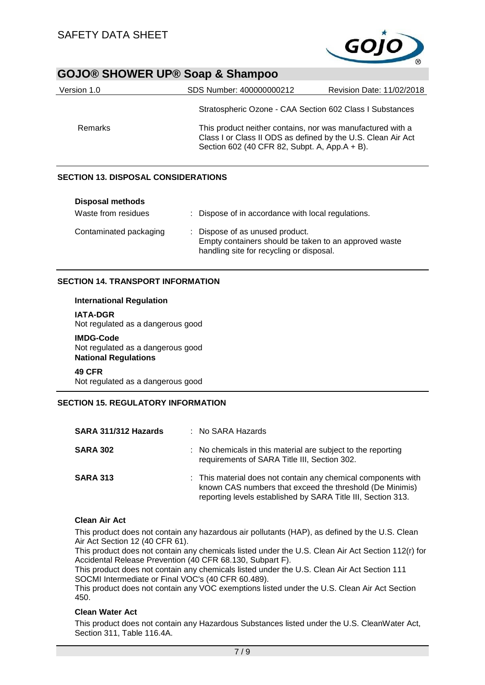

| Version 1.0 | SDS Number: 400000000212                                 | Revision Date: 11/02/2018                                                                                                                                                   |  |
|-------------|----------------------------------------------------------|-----------------------------------------------------------------------------------------------------------------------------------------------------------------------------|--|
|             | Stratospheric Ozone - CAA Section 602 Class I Substances |                                                                                                                                                                             |  |
| Remarks     |                                                          | This product neither contains, nor was manufactured with a<br>Class I or Class II ODS as defined by the U.S. Clean Air Act<br>Section 602 (40 CFR 82, Subpt. A, App.A + B). |  |

## **SECTION 13. DISPOSAL CONSIDERATIONS**

| <b>Disposal methods</b><br>Waste from residues | : Dispose of in accordance with local regulations.                                                                                   |
|------------------------------------------------|--------------------------------------------------------------------------------------------------------------------------------------|
| Contaminated packaging                         | : Dispose of as unused product.<br>Empty containers should be taken to an approved waste<br>handling site for recycling or disposal. |

## **SECTION 14. TRANSPORT INFORMATION**

#### **International Regulation**

**IATA-DGR** Not regulated as a dangerous good

**IMDG-Code** Not regulated as a dangerous good **National Regulations**

**49 CFR**

Not regulated as a dangerous good

## **SECTION 15. REGULATORY INFORMATION**

| SARA 311/312 Hazards | $:$ No SARA Hazards                                                                                                                                                                       |
|----------------------|-------------------------------------------------------------------------------------------------------------------------------------------------------------------------------------------|
| <b>SARA 302</b>      | : No chemicals in this material are subject to the reporting<br>requirements of SARA Title III, Section 302.                                                                              |
| <b>SARA 313</b>      | : This material does not contain any chemical components with<br>known CAS numbers that exceed the threshold (De Minimis)<br>reporting levels established by SARA Title III, Section 313. |

# **Clean Air Act**

This product does not contain any hazardous air pollutants (HAP), as defined by the U.S. Clean Air Act Section 12 (40 CFR 61).

This product does not contain any chemicals listed under the U.S. Clean Air Act Section 112(r) for Accidental Release Prevention (40 CFR 68.130, Subpart F).

This product does not contain any chemicals listed under the U.S. Clean Air Act Section 111 SOCMI Intermediate or Final VOC's (40 CFR 60.489).

This product does not contain any VOC exemptions listed under the U.S. Clean Air Act Section 450.

# **Clean Water Act**

This product does not contain any Hazardous Substances listed under the U.S. CleanWater Act, Section 311, Table 116.4A.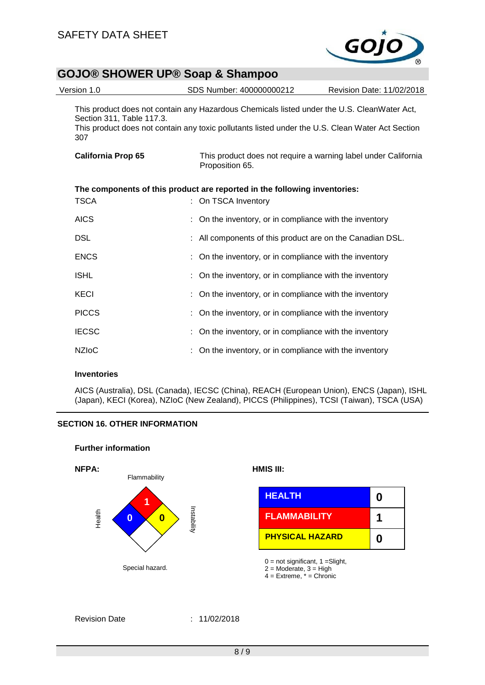

| Version 1.0                      | SDS Number: 400000000212                                                                                                                                                                        | Revision Date: 11/02/2018                                      |
|----------------------------------|-------------------------------------------------------------------------------------------------------------------------------------------------------------------------------------------------|----------------------------------------------------------------|
| Section 311, Table 117.3.<br>307 | This product does not contain any Hazardous Chemicals listed under the U.S. CleanWater Act,<br>This product does not contain any toxic pollutants listed under the U.S. Clean Water Act Section |                                                                |
| <b>California Prop 65</b>        | Proposition 65.                                                                                                                                                                                 | This product does not require a warning label under California |
|                                  | The components of this product are reported in the following inventories:                                                                                                                       |                                                                |
| TSCA                             | : On TSCA Inventory                                                                                                                                                                             |                                                                |
| <b>AICS</b>                      | : On the inventory, or in compliance with the inventory                                                                                                                                         |                                                                |
| <b>DSL</b>                       | : All components of this product are on the Canadian DSL.                                                                                                                                       |                                                                |
| <b>ENCS</b>                      | : On the inventory, or in compliance with the inventory                                                                                                                                         |                                                                |
| <b>ISHL</b>                      | : On the inventory, or in compliance with the inventory                                                                                                                                         |                                                                |
| <b>KECI</b>                      | : On the inventory, or in compliance with the inventory                                                                                                                                         |                                                                |
| <b>PICCS</b>                     | : On the inventory, or in compliance with the inventory                                                                                                                                         |                                                                |
| <b>IECSC</b>                     | : On the inventory, or in compliance with the inventory                                                                                                                                         |                                                                |
| <b>NZIoC</b>                     | On the inventory, or in compliance with the inventory                                                                                                                                           |                                                                |
|                                  |                                                                                                                                                                                                 |                                                                |

### **Inventories**

AICS (Australia), DSL (Canada), IECSC (China), REACH (European Union), ENCS (Japan), ISHL (Japan), KECI (Korea), NZIoC (New Zealand), PICCS (Philippines), TCSI (Taiwan), TSCA (USA)

# **SECTION 16. OTHER INFORMATION**

### **Further information**



|                   | <b>HEALTH</b>          |  |
|-------------------|------------------------|--|
| ga<br>0<br>oilità | <b>FLAMMABILITY</b>    |  |
|                   | <b>PHYSICAL HAZARD</b> |  |

 $0 = not significant, 1 = Slight,$ 

 $2 =$  Moderate,  $3 =$  High

 $4 =$  Extreme,  $* =$  Chronic

# Revision Date : 11/02/2018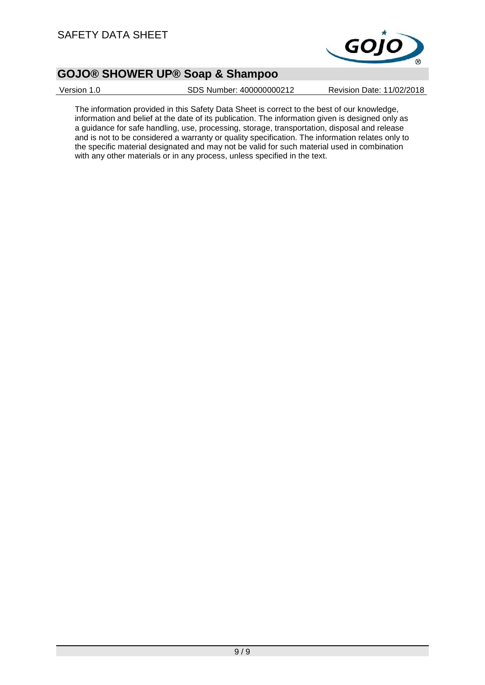

Version 1.0 SDS Number: 400000000212 Revision Date: 11/02/2018

The information provided in this Safety Data Sheet is correct to the best of our knowledge, information and belief at the date of its publication. The information given is designed only as a guidance for safe handling, use, processing, storage, transportation, disposal and release and is not to be considered a warranty or quality specification. The information relates only to the specific material designated and may not be valid for such material used in combination with any other materials or in any process, unless specified in the text.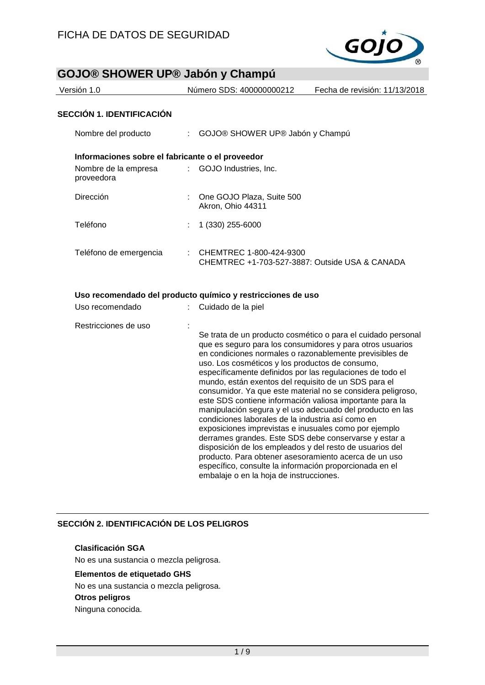

| Versión 1.0                                      | Número SDS: 400000000212        | Fecha de revisión: 11/13/2018 |
|--------------------------------------------------|---------------------------------|-------------------------------|
| <b>SECCIÓN 1. IDENTIFICACIÓN</b>                 |                                 |                               |
| Nombre del producto                              | GOJO® SHOWER UP® Jabón y Champú |                               |
| Informaciones sobre el fabricante o el proveedor |                                 |                               |
| Nombre de la empresa<br>proveedora               | : GOJO Industries, Inc.         |                               |
| Dirección                                        | One GOJO Plaza, Suite 500       |                               |

|                        | Akron, Ohio 44311                                                                      |
|------------------------|----------------------------------------------------------------------------------------|
| Teléfono               | $: 1(330) 255-6000$                                                                    |
| Teléfono de emergencia | $\therefore$ CHEMTREC 1-800-424-9300<br>CHEMTREC +1-703-527-3887: Outside USA & CANADA |

#### **Uso recomendado del producto químico y restricciones de uso**

| Uso recomendado      | Cuidado de la piel                                                                                                                                                                                                                                                                                                                                                                                                                                                                                                                                                                                                                                                                                                                                                                                                                                                                                                                                     |
|----------------------|--------------------------------------------------------------------------------------------------------------------------------------------------------------------------------------------------------------------------------------------------------------------------------------------------------------------------------------------------------------------------------------------------------------------------------------------------------------------------------------------------------------------------------------------------------------------------------------------------------------------------------------------------------------------------------------------------------------------------------------------------------------------------------------------------------------------------------------------------------------------------------------------------------------------------------------------------------|
| Restricciones de uso | Se trata de un producto cosmético o para el cuidado personal<br>que es seguro para los consumidores y para otros usuarios<br>en condiciones normales o razonablemente previsibles de<br>uso. Los cosméticos y los productos de consumo,<br>específicamente definidos por las regulaciones de todo el<br>mundo, están exentos del requisito de un SDS para el<br>consumidor. Ya que este material no se considera peligroso,<br>este SDS contiene información valiosa importante para la<br>manipulación segura y el uso adecuado del producto en las<br>condiciones laborales de la industria así como en<br>exposiciones imprevistas e inusuales como por ejemplo<br>derrames grandes. Este SDS debe conservarse y estar a<br>disposición de los empleados y del resto de usuarios del<br>producto. Para obtener asesoramiento acerca de un uso<br>específico, consulte la información proporcionada en el<br>embalaje o en la hoja de instrucciones. |

# **SECCIÓN 2. IDENTIFICACIÓN DE LOS PELIGROS**

# **Clasificación SGA**

No es una sustancia o mezcla peligrosa.

# **Elementos de etiquetado GHS**

No es una sustancia o mezcla peligrosa.

## **Otros peligros**

Ninguna conocida.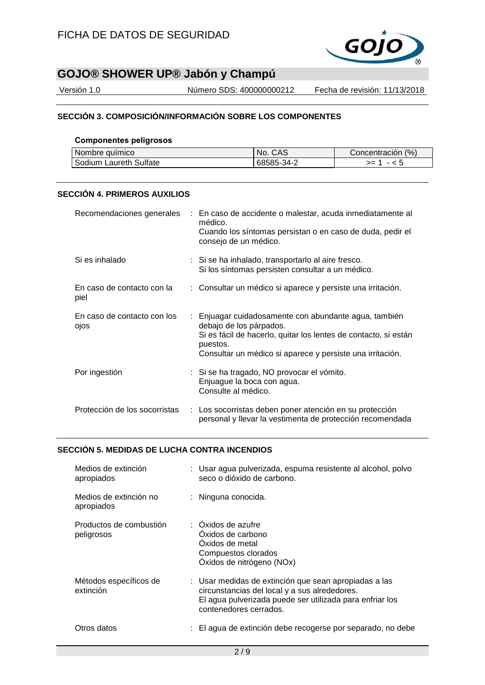

Versión 1.0 Número SDS: 400000000212 Fecha de revisión: 11/13/2018

# **SECCIÓN 3. COMPOSICIÓN/INFORMACIÓN SOBRE LOS COMPONENTES**

## **Componentes peligrosos**

| l Nombre auímico       | CAS<br>NO. | (% )<br>Concentracion |
|------------------------|------------|-----------------------|
| Sodium Laureth Sulfate | 68585-34-2 | >=                    |

# **SECCIÓN 4. PRIMEROS AUXILIOS**

|                                     | Recomendaciones generales : En caso de accidente o malestar, acuda inmediatamente al<br>médico.<br>Cuando los síntomas persistan o en caso de duda, pedir el<br>consejo de un médico.                                        |
|-------------------------------------|------------------------------------------------------------------------------------------------------------------------------------------------------------------------------------------------------------------------------|
| Si es inhalado                      | : Si se ha inhalado, transportarlo al aire fresco.<br>Si los síntomas persisten consultar a un médico.                                                                                                                       |
| En caso de contacto con la<br>piel  | : Consultar un médico si aparece y persiste una irritación.                                                                                                                                                                  |
| En caso de contacto con los<br>ojos | : Enjuagar cuidadosamente con abundante agua, también<br>debajo de los párpados.<br>Si es fácil de hacerlo, quitar los lentes de contacto, si están<br>puestos.<br>Consultar un médico si aparece y persiste una irritación. |
| Por ingestión                       | : Si se ha tragado, NO provocar el vómito.<br>Enjuague la boca con agua.<br>Consulte al médico.                                                                                                                              |
| Protección de los socorristas       | : Los socorristas deben poner atención en su protección<br>personal y llevar la vestimenta de protección recomendada                                                                                                         |

## **SECCIÓN 5. MEDIDAS DE LUCHA CONTRA INCENDIOS**

| Medios de extinción<br>apropiados     | : Usar agua pulverizada, espuma resistente al alcohol, polvo<br>seco o dióxido de carbono.                                                                                                   |
|---------------------------------------|----------------------------------------------------------------------------------------------------------------------------------------------------------------------------------------------|
| Medios de extinción no<br>apropiados  | : Ninguna conocida.                                                                                                                                                                          |
| Productos de combustión<br>peligrosos | : Oxidos de azufre<br>Oxidos de carbono<br>Oxidos de metal<br>Compuestos clorados<br>Óxidos de nitrógeno (NOx)                                                                               |
| Métodos específicos de<br>extinción   | : Usar medidas de extinción que sean apropiadas a las<br>circunstancias del local y a sus alrededores.<br>El agua pulverizada puede ser utilizada para enfriar los<br>contenedores cerrados. |
| Otros datos                           | : El agua de extinción debe recogerse por separado, no debe                                                                                                                                  |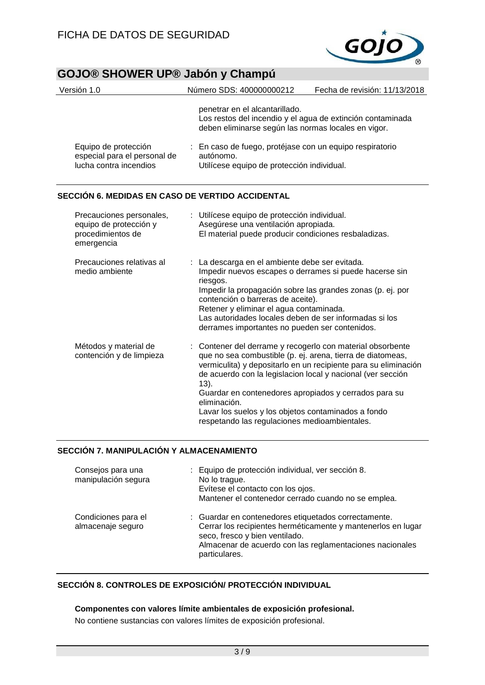

| Versión 1.0                                                                    | Número SDS: 400000000212                                                                                            | Fecha de revisión: 11/13/2018                              |
|--------------------------------------------------------------------------------|---------------------------------------------------------------------------------------------------------------------|------------------------------------------------------------|
|                                                                                | penetrar en el alcantarillado.<br>deben eliminarse según las normas locales en vigor.                               | Los restos del incendio y el agua de extinción contaminada |
| Equipo de protección<br>especial para el personal de<br>lucha contra incendios | : En caso de fuego, protéjase con un equipo respiratorio<br>autónomo.<br>Utilícese equipo de protección individual. |                                                            |

# **SECCIÓN 6. MEDIDAS EN CASO DE VERTIDO ACCIDENTAL**

| Precauciones personales,<br>equipo de protección y<br>procedimientos de<br>emergencia | : Utilícese equipo de protección individual.<br>Asegúrese una ventilación apropiada.<br>El material puede producir condiciones resbaladizas.                                                                                                                                                                                                                                                                                                        |
|---------------------------------------------------------------------------------------|-----------------------------------------------------------------------------------------------------------------------------------------------------------------------------------------------------------------------------------------------------------------------------------------------------------------------------------------------------------------------------------------------------------------------------------------------------|
| Precauciones relativas al<br>medio ambiente                                           | : La descarga en el ambiente debe ser evitada.<br>Impedir nuevos escapes o derrames si puede hacerse sin<br>riesgos.<br>Impedir la propagación sobre las grandes zonas (p. ej. por<br>contención o barreras de aceite).<br>Retener y eliminar el agua contaminada.<br>Las autoridades locales deben de ser informadas si los<br>derrames importantes no pueden ser contenidos.                                                                      |
| Métodos y material de<br>contención y de limpieza                                     | : Contener del derrame y recogerlo con material obsorbente<br>que no sea combustible (p. ej. arena, tierra de diatomeas,<br>vermiculita) y depositarlo en un recipiente para su eliminación<br>de acuerdo con la legislacion local y nacional (ver sección<br>13).<br>Guardar en contenedores apropiados y cerrados para su<br>eliminación.<br>Lavar los suelos y los objetos contaminados a fondo<br>respetando las regulaciones medioambientales. |

# **SECCIÓN 7. MANIPULACIÓN Y ALMACENAMIENTO**

| Consejos para una<br>manipulación segura | : Equipo de protección individual, ver sección 8.<br>No lo trague.<br>Evítese el contacto con los ojos.<br>Mantener el contenedor cerrado cuando no se emplea.                                                                      |
|------------------------------------------|-------------------------------------------------------------------------------------------------------------------------------------------------------------------------------------------------------------------------------------|
| Condiciones para el<br>almacenaje seguro | : Guardar en contenedores etiquetados correctamente.<br>Cerrar los recipientes herméticamente y mantenerlos en lugar<br>seco, fresco y bien ventilado.<br>Almacenar de acuerdo con las reglamentaciones nacionales<br>particulares. |

# **SECCIÓN 8. CONTROLES DE EXPOSICIÓN/ PROTECCIÓN INDIVIDUAL**

## **Componentes con valores límite ambientales de exposición profesional.**

No contiene sustancias con valores límites de exposición profesional.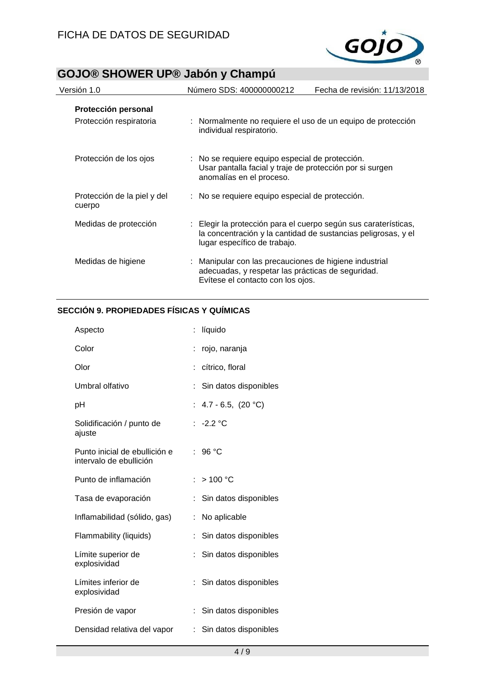

| Versión 1.0                                    | Número SDS: 400000000212                                                                                                                         | Fecha de revisión: 11/13/2018                                 |
|------------------------------------------------|--------------------------------------------------------------------------------------------------------------------------------------------------|---------------------------------------------------------------|
| Protección personal<br>Protección respiratoria | : Normalmente no requiere el uso de un equipo de protección<br>individual respiratorio.                                                          |                                                               |
| Protección de los ojos                         | : No se requiere equipo especial de protección.<br>Usar pantalla facial y traje de protección por si surgen<br>anomalías en el proceso.          |                                                               |
| Protección de la piel y del<br>cuerpo          | : No se requiere equipo especial de protección.                                                                                                  |                                                               |
| Medidas de protección                          | : Elegir la protección para el cuerpo según sus caraterísticas,<br>lugar específico de trabajo.                                                  | la concentración y la cantidad de sustancias peligrosas, y el |
| Medidas de higiene                             | : Manipular con las precauciones de higiene industrial<br>adecuadas, y respetar las prácticas de seguridad.<br>Evítese el contacto con los ojos. |                                                               |

# **SECCIÓN 9. PROPIEDADES FÍSICAS Y QUÍMICAS**

| Aspecto                                                  | líquido                     |
|----------------------------------------------------------|-----------------------------|
| Color                                                    | rojo, naranja               |
| Olor                                                     | cítrico, floral             |
| Umbral olfativo                                          | Sin datos disponibles       |
| рH                                                       | 4.7 - 6.5, $(20 °C)$<br>t.  |
| Solidificación / punto de<br>ajuste                      | : $-2.2 °C$                 |
| Punto inicial de ebullición e<br>intervalo de ebullición | 96 °C<br>÷.                 |
| Punto de inflamación                                     | $:$ > 100 °C                |
| Tasa de evaporación                                      | Sin datos disponibles       |
| Inflamabilidad (sólido, gas)                             | No aplicable<br>÷           |
| Flammability (liquids)                                   | Sin datos disponibles       |
| Límite superior de<br>explosividad                       | Sin datos disponibles<br>÷  |
| Límites inferior de<br>explosividad                      | Sin datos disponibles       |
| Presión de vapor                                         | Sin datos disponibles       |
| Densidad relativa del vapor                              | Sin datos disponibles<br>t. |
|                                                          |                             |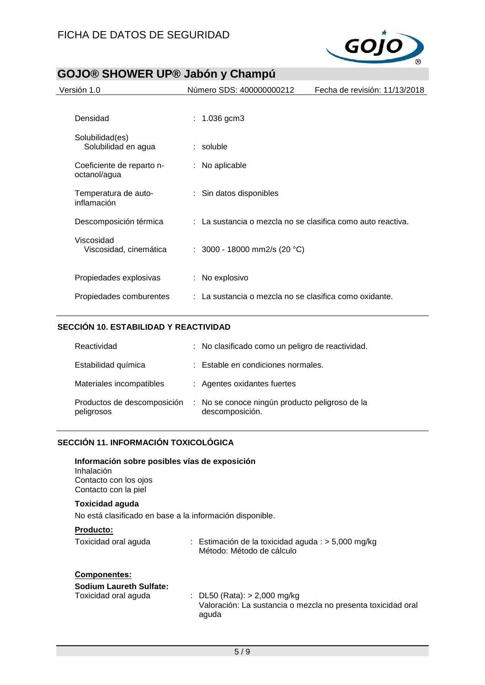

| Versión 1.0                               | Número SDS: 400000000212                                               | Fecha de revisión: 11/13/2018 |
|-------------------------------------------|------------------------------------------------------------------------|-------------------------------|
|                                           |                                                                        |                               |
| Densidad                                  | : $1.036$ gcm $3$                                                      |                               |
| Solubilidad(es)<br>Solubilidad en agua    | : soluble                                                              |                               |
| Coeficiente de reparto n-<br>octanol/agua | No aplicable<br>÷.                                                     |                               |
| Temperatura de auto-<br>inflamación       | : Sin datos disponibles                                                |                               |
| Descomposición térmica                    | $\therefore$ La sustancia o mezcla no se clasifica como auto reactiva. |                               |
| Viscosidad<br>Viscosidad, cinemática      | : $3000 - 18000$ mm2/s (20 °C)                                         |                               |
| Propiedades explosivas                    | : No explosivo                                                         |                               |
| Propiedades comburentes                   | : La sustancia o mezcla no se clasifica como oxidante.                 |                               |

# **SECCIÓN 10. ESTABILIDAD Y REACTIVIDAD**

| Reactividad                               | : No clasificado como un peligro de reactividad.                  |
|-------------------------------------------|-------------------------------------------------------------------|
| Estabilidad química                       | : Estable en condiciones normales.                                |
| Materiales incompatibles                  | : Agentes oxidantes fuertes                                       |
| Productos de descomposición<br>peligrosos | : No se conoce ningún producto peligroso de la<br>descomposición. |

# **SECCIÓN 11. INFORMACIÓN TOXICOLÓGICA**

| Información sobre posibles vías de exposición<br>Inhalación<br>Contacto con los ojos<br>Contacto con la piel |                                                                                                         |
|--------------------------------------------------------------------------------------------------------------|---------------------------------------------------------------------------------------------------------|
| Toxicidad aguda<br>No está clasificado en base a la información disponible.                                  |                                                                                                         |
|                                                                                                              |                                                                                                         |
| <b>Producto:</b><br>Toxicidad oral aguda                                                                     | : Estimación de la toxicidad aguda : $>$ 5,000 mg/kg                                                    |
|                                                                                                              | Método: Método de cálculo                                                                               |
| <b>Componentes:</b>                                                                                          |                                                                                                         |
| Sodium Laureth Sulfate:                                                                                      |                                                                                                         |
| Toxicidad oral aguda                                                                                         | : DL50 (Rata): $> 2,000$ mg/kg<br>Valoración: La sustancia o mezcla no presenta toxicidad oral<br>aguda |
|                                                                                                              |                                                                                                         |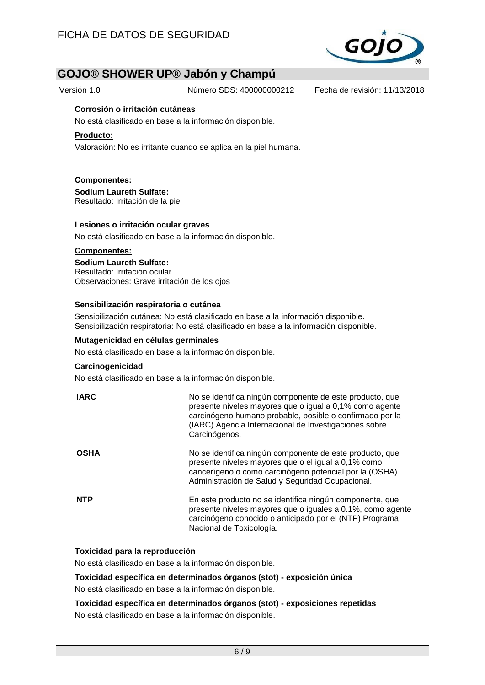

Versión 1.0 Número SDS: 400000000212 Fecha de revisión: 11/13/2018

#### **Corrosión o irritación cutáneas**

No está clasificado en base a la información disponible.

#### **Producto:**

Valoración: No es irritante cuando se aplica en la piel humana.

#### **Componentes:**

**Sodium Laureth Sulfate:** Resultado: Irritación de la piel

#### **Lesiones o irritación ocular graves**

No está clasificado en base a la información disponible.

#### **Componentes:**

**Sodium Laureth Sulfate:** Resultado: Irritación ocular Observaciones: Grave irritación de los ojos

#### **Sensibilización respiratoria o cutánea**

Sensibilización cutánea: No está clasificado en base a la información disponible. Sensibilización respiratoria: No está clasificado en base a la información disponible.

#### **Mutagenicidad en células germinales**

No está clasificado en base a la información disponible.

#### **Carcinogenicidad**

No está clasificado en base a la información disponible.

| <b>IARC</b> | No se identifica ningún componente de este producto, que<br>presente niveles mayores que o igual a 0,1% como agente<br>carcinógeno humano probable, posible o confirmado por la<br>(IARC) Agencia Internacional de Investigaciones sobre<br>Carcinógenos. |
|-------------|-----------------------------------------------------------------------------------------------------------------------------------------------------------------------------------------------------------------------------------------------------------|
| <b>OSHA</b> | No se identifica ningún componente de este producto, que<br>presente niveles mayores que o el igual a 0,1% como<br>cancerígeno o como carcinógeno potencial por la (OSHA)<br>Administración de Salud y Seguridad Ocupacional.                             |
| <b>NTP</b>  | En este producto no se identifica ningún componente, que<br>presente niveles mayores que o iguales a 0.1%, como agente<br>carcinógeno conocido o anticipado por el (NTP) Programa<br>Nacional de Toxicología.                                             |

## **Toxicidad para la reproducción**

No está clasificado en base a la información disponible.

**Toxicidad específica en determinados órganos (stot) - exposición única**

No está clasificado en base a la información disponible.

**Toxicidad específica en determinados órganos (stot) - exposiciones repetidas** No está clasificado en base a la información disponible.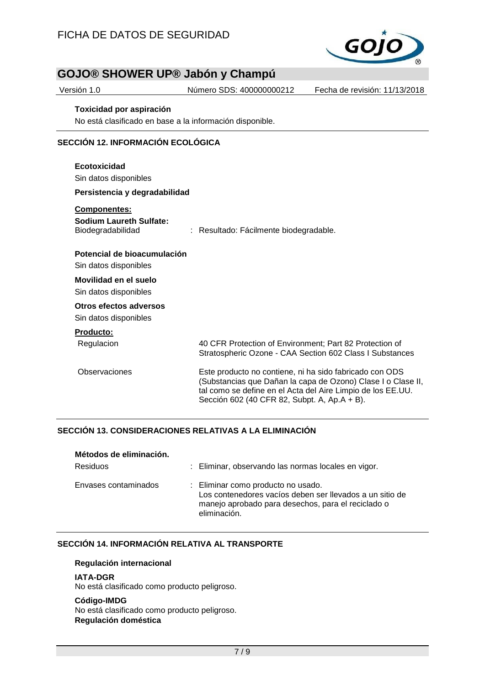

Versión 1.0 Número SDS: 400000000212 Fecha de revisión: 11/13/2018

#### **Toxicidad por aspiración**

No está clasificado en base a la información disponible.

# **SECCIÓN 12. INFORMACIÓN ECOLÓGICA**

| Ecotoxicidad<br>Sin datos disponibles<br>Persistencia y degradabilidad                                 |                                                                                                                                                                                                                                        |
|--------------------------------------------------------------------------------------------------------|----------------------------------------------------------------------------------------------------------------------------------------------------------------------------------------------------------------------------------------|
| <b>Componentes:</b><br>Sodium Laureth Sulfate:<br>Biodegradabilidad                                    | : Resultado: Fácilmente biodegradable.                                                                                                                                                                                                 |
| Potencial de bioacumulación<br>Sin datos disponibles<br>Movilidad en el suelo<br>Sin datos disponibles |                                                                                                                                                                                                                                        |
| Otros efectos adversos<br>Sin datos disponibles                                                        |                                                                                                                                                                                                                                        |
| Producto:<br>Regulacion                                                                                | 40 CFR Protection of Environment; Part 82 Protection of<br>Stratospheric Ozone - CAA Section 602 Class I Substances                                                                                                                    |
| Observaciones                                                                                          | Este producto no contiene, ni ha sido fabricado con ODS<br>(Substancias que Dañan la capa de Ozono) Clase I o Clase II,<br>tal como se define en el Acta del Aire Limpio de los EE.UU.<br>Sección 602 (40 CFR 82, Subpt. A, Ap.A + B). |

### **SECCIÓN 13. CONSIDERACIONES RELATIVAS A LA ELIMINACIÓN**

| Métodos de eliminación.<br><b>Residuos</b> | : Eliminar, observando las normas locales en vigor.                                                                                                                  |
|--------------------------------------------|----------------------------------------------------------------------------------------------------------------------------------------------------------------------|
| Envases contaminados                       | : Eliminar como producto no usado.<br>Los contenedores vacíos deben ser llevados a un sitio de<br>manejo aprobado para desechos, para el reciclado o<br>eliminación. |

## **SECCIÓN 14. INFORMACIÓN RELATIVA AL TRANSPORTE**

#### **Regulación internacional**

#### **IATA-DGR**

No está clasificado como producto peligroso.

#### **Código-IMDG**

No está clasificado como producto peligroso. **Regulación doméstica**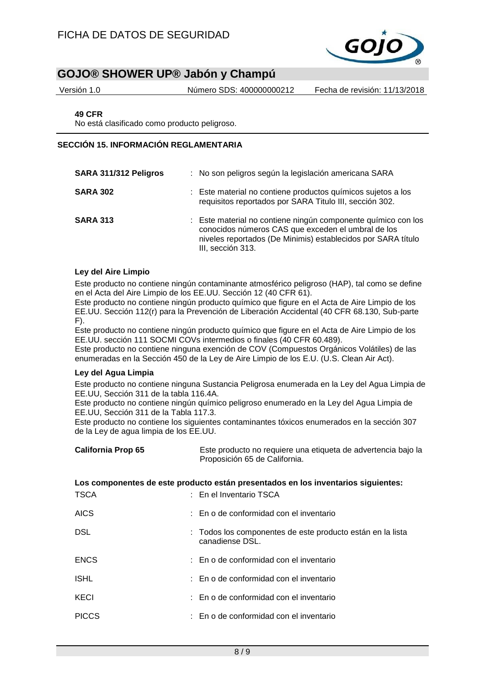

Versión 1.0 Número SDS: 400000000212 Fecha de revisión: 11/13/2018

**49 CFR**

No está clasificado como producto peligroso.

### **SECCIÓN 15. INFORMACIÓN REGLAMENTARIA**

| SARA 311/312 Peligros | : No son peligros según la legislación americana SARA                                                                                                                                                    |
|-----------------------|----------------------------------------------------------------------------------------------------------------------------------------------------------------------------------------------------------|
| <b>SARA 302</b>       | : Este material no contiene productos químicos sujetos a los<br>requisitos reportados por SARA Titulo III, sección 302.                                                                                  |
| <b>SARA 313</b>       | : Este material no contiene ningún componente químico con los<br>conocidos números CAS que exceden el umbral de los<br>niveles reportados (De Minimis) establecidos por SARA título<br>III, sección 313. |

### **Ley del Aire Limpio**

Este producto no contiene ningún contaminante atmosférico peligroso (HAP), tal como se define en el Acta del Aire Limpio de los EE.UU. Sección 12 (40 CFR 61).

Este producto no contiene ningún producto químico que figure en el Acta de Aire Limpio de los EE.UU. Sección 112(r) para la Prevención de Liberación Accidental (40 CFR 68.130, Sub-parte F).

Este producto no contiene ningún producto químico que figure en el Acta de Aire Limpio de los EE.UU. sección 111 SOCMI COVs intermedios o finales (40 CFR 60.489).

Este producto no contiene ninguna exención de COV (Compuestos Orgánicos Volátiles) de las enumeradas en la Sección 450 de la Ley de Aire Limpio de los E.U. (U.S. Clean Air Act).

### **Ley del Agua Limpia**

Este producto no contiene ninguna Sustancia Peligrosa enumerada en la Ley del Agua Limpia de EE.UU, Sección 311 de la tabla 116.4A.

Este producto no contiene ningún químico peligroso enumerado en la Ley del Agua Limpia de EE.UU, Sección 311 de la Tabla 117.3.

Este producto no contiene los siguientes contaminantes tóxicos enumerados en la sección 307 de la Ley de agua limpia de los EE.UU.

| <b>California Prop 65</b>                                                         | Este producto no requiere una etiqueta de advertencia bajo la<br>Proposición 65 de California. |  |  |  |
|-----------------------------------------------------------------------------------|------------------------------------------------------------------------------------------------|--|--|--|
| Los componentes de este producto están presentados en los inventarios siguientes: |                                                                                                |  |  |  |
| <b>TSCA</b>                                                                       | : En el Inventario TSCA                                                                        |  |  |  |
| <b>AICS</b>                                                                       | $\therefore$ En o de conformidad con el inventario                                             |  |  |  |
| DSL.                                                                              | : Todos los componentes de este producto están en la lista<br>canadiense DSL.                  |  |  |  |
| <b>ENCS</b>                                                                       | $\pm$ En o de conformidad con el inventario.                                                   |  |  |  |
| <b>ISHL</b>                                                                       | : En o de conformidad con el inventario                                                        |  |  |  |
| KECI                                                                              | : En o de conformidad con el inventario                                                        |  |  |  |
| <b>PICCS</b>                                                                      | : En o de conformidad con el inventario                                                        |  |  |  |